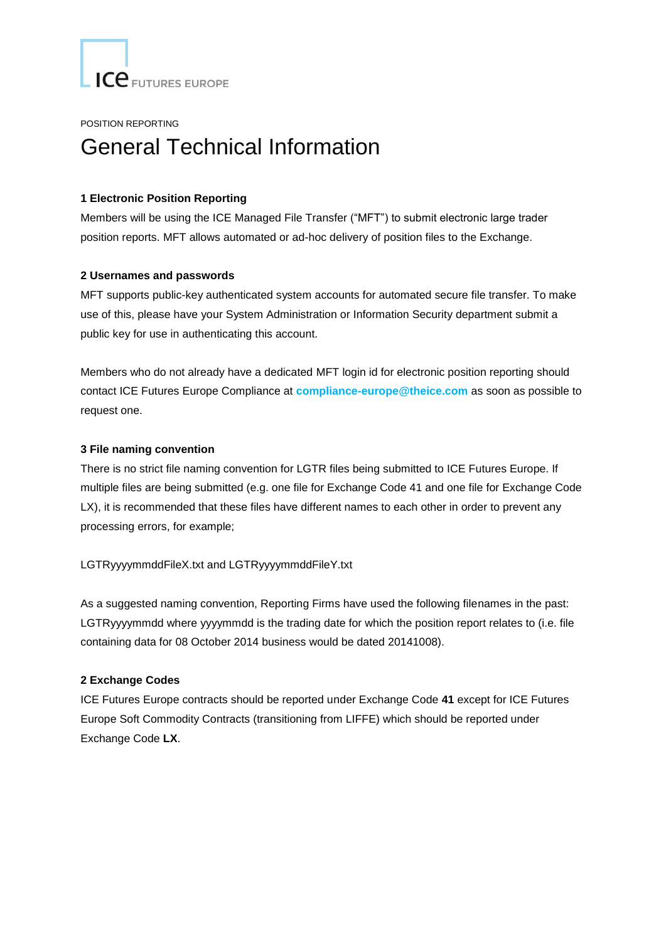ICE FUTURES EUROPE

POSITION REPORTING

# General Technical Information

## **1 Electronic Position Reporting**

Members will be using the ICE Managed File Transfer ("MFT") to submit electronic large trader position reports. MFT allows automated or ad-hoc delivery of position files to the Exchange.

#### **2 Usernames and passwords**

MFT supports public-key authenticated system accounts for automated secure file transfer. To make use of this, please have your System Administration or Information Security department submit a public key for use in authenticating this account.

Members who do not already have a dedicated MFT login id for electronic position reporting should contact ICE Futures Europe Compliance at **[compliance-europe@theice.com](mailto:compliance-europe@theice.com)** as soon as possible to request one.

## **3 File naming convention**

There is no strict file naming convention for LGTR files being submitted to ICE Futures Europe. If multiple files are being submitted (e.g. one file for Exchange Code 41 and one file for Exchange Code LX), it is recommended that these files have different names to each other in order to prevent any processing errors, for example;

LGTRyyyymmddFileX.txt and LGTRyyyymmddFileY.txt

As a suggested naming convention, Reporting Firms have used the following filenames in the past: LGTRyyyymmdd where yyyymmdd is the trading date for which the position report relates to (i.e. file containing data for 08 October 2014 business would be dated 20141008).

## **2 Exchange Codes**

ICE Futures Europe contracts should be reported under Exchange Code **41** except for ICE Futures Europe Soft Commodity Contracts (transitioning from LIFFE) which should be reported under Exchange Code **LX**.